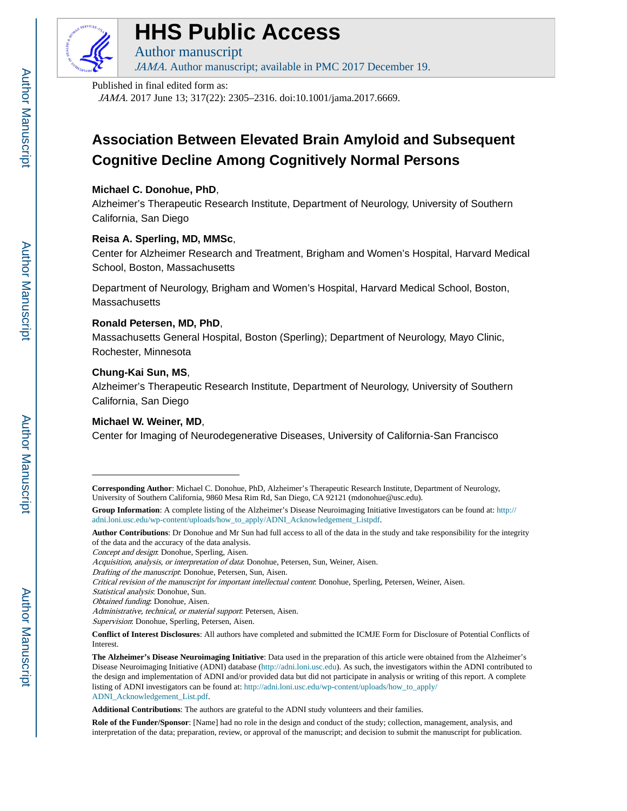

# **HHS Public Access**

Author manuscript JAMA. Author manuscript; available in PMC 2017 December 19.

## Published in final edited form as:

JAMA. 2017 June 13; 317(22): 2305–2316. doi:10.1001/jama.2017.6669.

## **Association Between Elevated Brain Amyloid and Subsequent Cognitive Decline Among Cognitively Normal Persons**

### **Michael C. Donohue, PhD**,

Alzheimer's Therapeutic Research Institute, Department of Neurology, University of Southern California, San Diego

## **Reisa A. Sperling, MD, MMSc**,

Center for Alzheimer Research and Treatment, Brigham and Women's Hospital, Harvard Medical School, Boston, Massachusetts

Department of Neurology, Brigham and Women's Hospital, Harvard Medical School, Boston, **Massachusetts** 

#### **Ronald Petersen, MD, PhD**,

Massachusetts General Hospital, Boston (Sperling); Department of Neurology, Mayo Clinic, Rochester, Minnesota

#### **Chung-Kai Sun, MS**,

Alzheimer's Therapeutic Research Institute, Department of Neurology, University of Southern California, San Diego

## **Michael W. Weiner, MD**,

Center for Imaging of Neurodegenerative Diseases, University of California-San Francisco

**Corresponding Author**: Michael C. Donohue, PhD, Alzheimer's Therapeutic Research Institute, Department of Neurology, University of Southern California, 9860 Mesa Rim Rd, San Diego, CA 92121 (mdonohue@usc.edu).

**Group Information**: A complete listing of the Alzheimer's Disease Neuroimaging Initiative Investigators can be found at: [http://](http://adni.loni.usc.edu/wp-content/uploads/how_to_apply/ADNI_Acknowledgement_Listpdf) [adni.loni.usc.edu/wp-content/uploads/how\\_to\\_apply/ADNI\\_Acknowledgement\\_Listpdf](http://adni.loni.usc.edu/wp-content/uploads/how_to_apply/ADNI_Acknowledgement_Listpdf).

**Author Contributions**: Dr Donohue and Mr Sun had full access to all of the data in the study and take responsibility for the integrity of the data and the accuracy of the data analysis.

Concept and design: Donohue, Sperling, Aisen.

Acquisition, analysis, or interpretation of data: Donohue, Petersen, Sun, Weiner, Aisen.

Drafting of the manuscript: Donohue, Petersen, Sun, Aisen.

Critical revision of the manuscript for important intellectual content: Donohue, Sperling, Petersen, Weiner, Aisen.

Statistical analysis: Donohue, Sun.

Obtained funding: Donohue, Aisen.

Administrative, technical, or material support: Petersen, Aisen.

Supervision: Donohue, Sperling, Petersen, Aisen.

**Conflict of Interest Disclosures**: All authors have completed and submitted the ICMJE Form for Disclosure of Potential Conflicts of Interest.

**The Alzheimer's Disease Neuroimaging Initiative**: Data used in the preparation of this article were obtained from the Alzheimer's Disease Neuroimaging Initiative (ADNI) database [\(http://adni.loni.usc.edu\)](http://adni.loni.usc.edu). As such, the investigators within the ADNI contributed to the design and implementation of ADNI and/or provided data but did not participate in analysis or writing of this report. A complete listing of ADNI investigators can be found at: [http://adni.loni.usc.edu/wp-content/uploads/how\\_to\\_apply/](http://adni.loni.usc.edu/wp-content/uploads/how_to_apply/ADNI_Acknowledgement_List.pdf) [ADNI\\_Acknowledgement\\_List.pdf](http://adni.loni.usc.edu/wp-content/uploads/how_to_apply/ADNI_Acknowledgement_List.pdf).

**Additional Contributions**: The authors are grateful to the ADNI study volunteers and their families.

**Role of the Funder/Sponsor**: [Name] had no role in the design and conduct of the study; collection, management, analysis, and interpretation of the data; preparation, review, or approval of the manuscript; and decision to submit the manuscript for publication.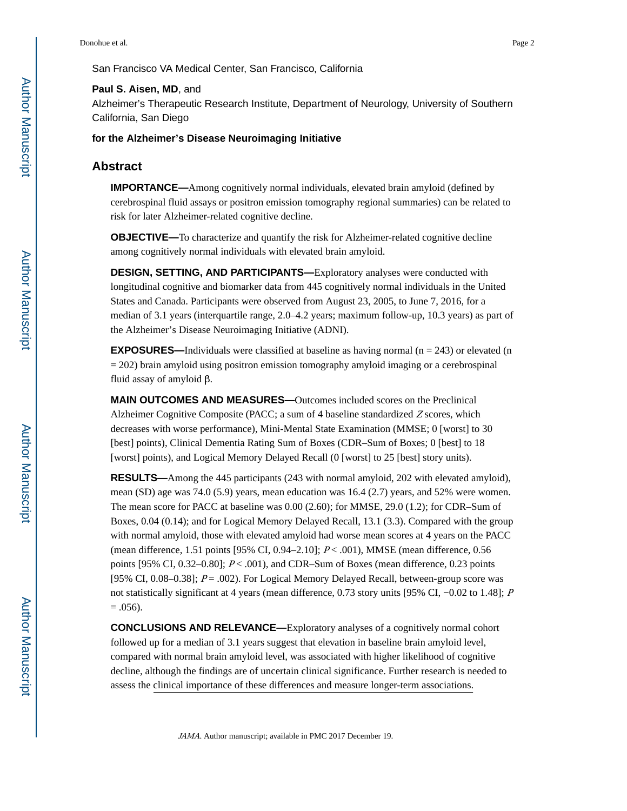San Francisco VA Medical Center, San Francisco, California

#### **Paul S. Aisen, MD**, and

Alzheimer's Therapeutic Research Institute, Department of Neurology, University of Southern California, San Diego

## **for the Alzheimer's Disease Neuroimaging Initiative**

## **Abstract**

**IMPORTANCE—**Among cognitively normal individuals, elevated brain amyloid (defined by cerebrospinal fluid assays or positron emission tomography regional summaries) can be related to risk for later Alzheimer-related cognitive decline.

**OBJECTIVE—**To characterize and quantify the risk for Alzheimer-related cognitive decline among cognitively normal individuals with elevated brain amyloid.

**DESIGN, SETTING, AND PARTICIPANTS—**Exploratory analyses were conducted with longitudinal cognitive and biomarker data from 445 cognitively normal individuals in the United States and Canada. Participants were observed from August 23, 2005, to June 7, 2016, for a median of 3.1 years (interquartile range, 2.0–4.2 years; maximum follow-up, 10.3 years) as part of the Alzheimer's Disease Neuroimaging Initiative (ADNI).

**EXPOSURES—**Individuals were classified at baseline as having normal (n = 243) or elevated (n = 202) brain amyloid using positron emission tomography amyloid imaging or a cerebrospinal fluid assay of amyloid β.

**MAIN OUTCOMES AND MEASURES—**Outcomes included scores on the Preclinical Alzheimer Cognitive Composite (PACC; a sum of 4 baseline standardized Z scores, which decreases with worse performance), Mini-Mental State Examination (MMSE; 0 [worst] to 30 [best] points), Clinical Dementia Rating Sum of Boxes (CDR–Sum of Boxes; 0 [best] to 18 [worst] points), and Logical Memory Delayed Recall (0 [worst] to 25 [best] story units).

**RESULTS—**Among the 445 participants (243 with normal amyloid, 202 with elevated amyloid), mean (SD) age was 74.0 (5.9) years, mean education was 16.4 (2.7) years, and 52% were women. The mean score for PACC at baseline was 0.00 (2.60); for MMSE, 29.0 (1.2); for CDR–Sum of Boxes, 0.04 (0.14); and for Logical Memory Delayed Recall, 13.1 (3.3). Compared with the group with normal amyloid, those with elevated amyloid had worse mean scores at 4 years on the PACC (mean difference, 1.51 points [95% CI, 0.94–2.10]; P < .001), MMSE (mean difference, 0.56 points [95% CI, 0.32–0.80];  $P < .001$ ), and CDR–Sum of Boxes (mean difference, 0.23 points [95% CI, 0.08–0.38];  $P = .002$ ). For Logical Memory Delayed Recall, between-group score was not statistically significant at 4 years (mean difference, 0.73 story units [95% CI, −0.02 to 1.48]; <sup>P</sup>  $= .056$ ).

**CONCLUSIONS AND RELEVANCE—**Exploratory analyses of a cognitively normal cohort followed up for a median of 3.1 years suggest that elevation in baseline brain amyloid level, compared with normal brain amyloid level, was associated with higher likelihood of cognitive decline, although the findings are of uncertain clinical significance. Further research is needed to assess the clinical importance of these differences and measure longer-term associations.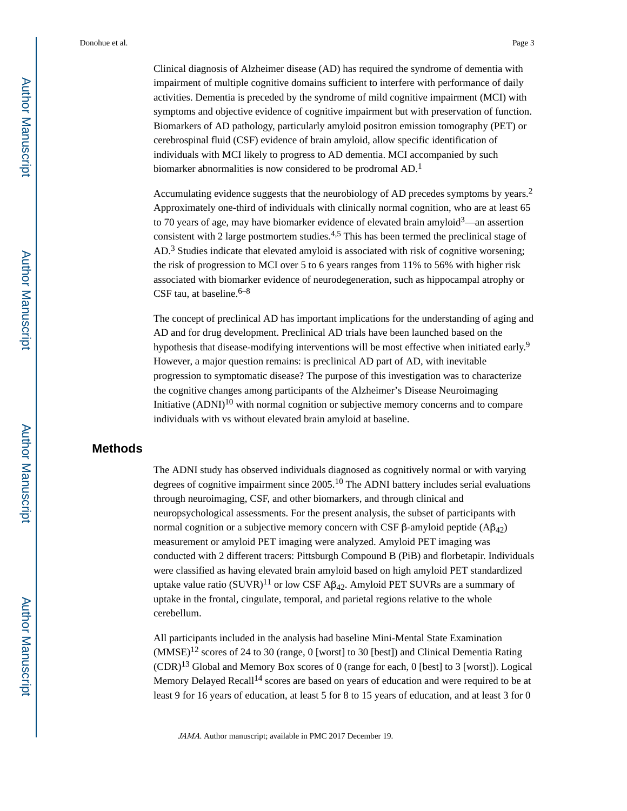Clinical diagnosis of Alzheimer disease (AD) has required the syndrome of dementia with impairment of multiple cognitive domains sufficient to interfere with performance of daily activities. Dementia is preceded by the syndrome of mild cognitive impairment (MCI) with symptoms and objective evidence of cognitive impairment but with preservation of function. Biomarkers of AD pathology, particularly amyloid positron emission tomography (PET) or cerebrospinal fluid (CSF) evidence of brain amyloid, allow specific identification of individuals with MCI likely to progress to AD dementia. MCI accompanied by such biomarker abnormalities is now considered to be prodromal AD.<sup>1</sup>

Accumulating evidence suggests that the neurobiology of AD precedes symptoms by years.<sup>2</sup> Approximately one-third of individuals with clinically normal cognition, who are at least 65 to 70 years of age, may have biomarker evidence of elevated brain amyloid<sup>3</sup>—an assertion consistent with 2 large postmortem studies.<sup>4,5</sup> This has been termed the preclinical stage of AD.<sup>3</sup> Studies indicate that elevated amyloid is associated with risk of cognitive worsening; the risk of progression to MCI over 5 to 6 years ranges from 11% to 56% with higher risk associated with biomarker evidence of neurodegeneration, such as hippocampal atrophy or CSF tau, at baseline.<sup>6-8</sup>

The concept of preclinical AD has important implications for the understanding of aging and AD and for drug development. Preclinical AD trials have been launched based on the hypothesis that disease-modifying interventions will be most effective when initiated early.<sup>9</sup> However, a major question remains: is preclinical AD part of AD, with inevitable progression to symptomatic disease? The purpose of this investigation was to characterize the cognitive changes among participants of the Alzheimer's Disease Neuroimaging Initiative  $(ADNI)^{10}$  with normal cognition or subjective memory concerns and to compare individuals with vs without elevated brain amyloid at baseline.

## **Methods**

The ADNI study has observed individuals diagnosed as cognitively normal or with varying degrees of cognitive impairment since 2005.10 The ADNI battery includes serial evaluations through neuroimaging, CSF, and other biomarkers, and through clinical and neuropsychological assessments. For the present analysis, the subset of participants with normal cognition or a subjective memory concern with CSF β-amyloid peptide  $(Aβ<sub>42</sub>)$ measurement or amyloid PET imaging were analyzed. Amyloid PET imaging was conducted with 2 different tracers: Pittsburgh Compound B (PiB) and florbetapir. Individuals were classified as having elevated brain amyloid based on high amyloid PET standardized uptake value ratio  $(SUVR)^{11}$  or low CSF A $\beta_{42}$ . Amyloid PET SUVRs are a summary of uptake in the frontal, cingulate, temporal, and parietal regions relative to the whole cerebellum.

All participants included in the analysis had baseline Mini-Mental State Examination  $(MMSE)^{12}$  scores of 24 to 30 (range, 0 [worst] to 30 [best]) and Clinical Dementia Rating  $(CDR)^{13}$  Global and Memory Box scores of 0 (range for each, 0 [best] to 3 [worst]). Logical Memory Delayed Recall<sup>14</sup> scores are based on years of education and were required to be at least 9 for 16 years of education, at least 5 for 8 to 15 years of education, and at least 3 for 0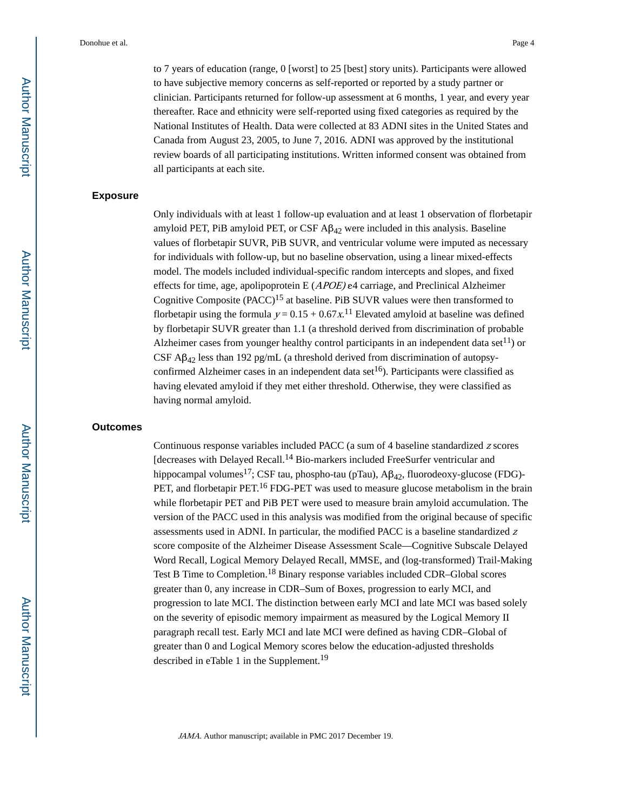to 7 years of education (range, 0 [worst] to 25 [best] story units). Participants were allowed to have subjective memory concerns as self-reported or reported by a study partner or clinician. Participants returned for follow-up assessment at 6 months, 1 year, and every year thereafter. Race and ethnicity were self-reported using fixed categories as required by the National Institutes of Health. Data were collected at 83 ADNI sites in the United States and Canada from August 23, 2005, to June 7, 2016. ADNI was approved by the institutional review boards of all participating institutions. Written informed consent was obtained from all participants at each site.

#### **Exposure**

Only individuals with at least 1 follow-up evaluation and at least 1 observation of florbetapir amyloid PET, PiB amyloid PET, or CSF  $\mathsf{AB}_{42}$  were included in this analysis. Baseline values of florbetapir SUVR, PiB SUVR, and ventricular volume were imputed as necessary for individuals with follow-up, but no baseline observation, using a linear mixed-effects model. The models included individual-specific random intercepts and slopes, and fixed effects for time, age, apolipoprotein E (APOE) ε4 carriage, and Preclinical Alzheimer Cognitive Composite (PACC)15 at baseline. PiB SUVR values were then transformed to florbetapir using the formula  $y = 0.15 + 0.67x^{11}$  Elevated amyloid at baseline was defined by florbetapir SUVR greater than 1.1 (a threshold derived from discrimination of probable Alzheimer cases from younger healthy control participants in an independent data set<sup>11</sup>) or CSF  $\mathbf{A}\mathbf{\beta}_{42}$  less than 192 pg/mL (a threshold derived from discrimination of autopsyconfirmed Alzheimer cases in an independent data set<sup>16</sup>). Participants were classified as having elevated amyloid if they met either threshold. Otherwise, they were classified as having normal amyloid.

### **Outcomes**

Continuous response variables included PACC (a sum of 4 baseline standardized z scores [decreases with Delayed Recall.14 Bio-markers included FreeSurfer ventricular and hippocampal volumes<sup>17</sup>; CSF tau, phospho-tau (pTau),  $A\beta_{42}$ , fluorodeoxy-glucose (FDG)-PET, and florbetapir PET.<sup>16</sup> FDG-PET was used to measure glucose metabolism in the brain while florbetapir PET and PiB PET were used to measure brain amyloid accumulation. The version of the PACC used in this analysis was modified from the original because of specific assessments used in ADNI. In particular, the modified PACC is a baseline standardized <sup>z</sup> score composite of the Alzheimer Disease Assessment Scale—Cognitive Subscale Delayed Word Recall, Logical Memory Delayed Recall, MMSE, and (log-transformed) Trail-Making Test B Time to Completion.18 Binary response variables included CDR–Global scores greater than 0, any increase in CDR–Sum of Boxes, progression to early MCI, and progression to late MCI. The distinction between early MCI and late MCI was based solely on the severity of episodic memory impairment as measured by the Logical Memory II paragraph recall test. Early MCI and late MCI were defined as having CDR–Global of greater than 0 and Logical Memory scores below the education-adjusted thresholds described in eTable 1 in the Supplement.<sup>19</sup>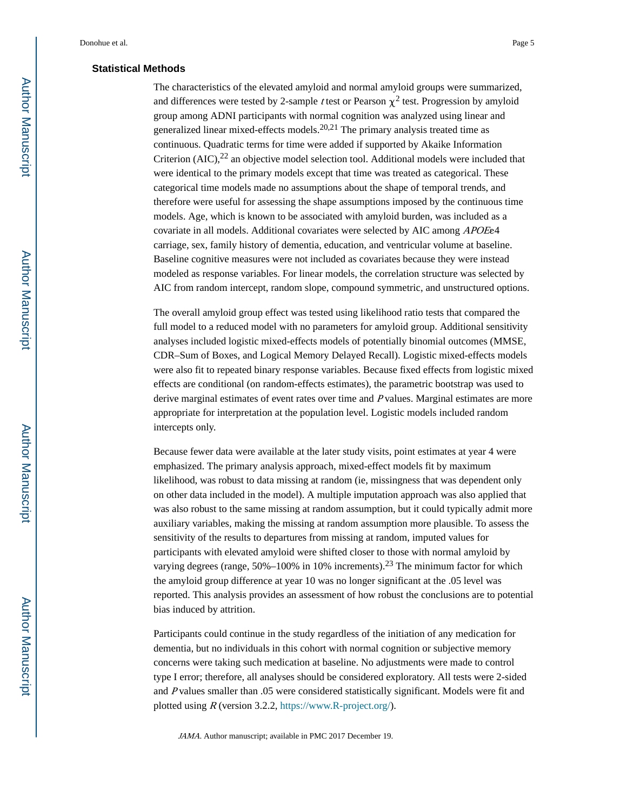#### **Statistical Methods**

The characteristics of the elevated amyloid and normal amyloid groups were summarized, and differences were tested by 2-sample *t* test or Pearson  $\chi^2$  test. Progression by amyloid group among ADNI participants with normal cognition was analyzed using linear and generalized linear mixed-effects models.20,21 The primary analysis treated time as continuous. Quadratic terms for time were added if supported by Akaike Information Criterion  $(AIC),<sup>22</sup>$  an objective model selection tool. Additional models were included that were identical to the primary models except that time was treated as categorical. These categorical time models made no assumptions about the shape of temporal trends, and therefore were useful for assessing the shape assumptions imposed by the continuous time models. Age, which is known to be associated with amyloid burden, was included as a covariate in all models. Additional covariates were selected by AIC among APOEe4 carriage, sex, family history of dementia, education, and ventricular volume at baseline. Baseline cognitive measures were not included as covariates because they were instead modeled as response variables. For linear models, the correlation structure was selected by AIC from random intercept, random slope, compound symmetric, and unstructured options.

The overall amyloid group effect was tested using likelihood ratio tests that compared the full model to a reduced model with no parameters for amyloid group. Additional sensitivity analyses included logistic mixed-effects models of potentially binomial outcomes (MMSE, CDR–Sum of Boxes, and Logical Memory Delayed Recall). Logistic mixed-effects models were also fit to repeated binary response variables. Because fixed effects from logistic mixed effects are conditional (on random-effects estimates), the parametric bootstrap was used to derive marginal estimates of event rates over time and P values. Marginal estimates are more appropriate for interpretation at the population level. Logistic models included random intercepts only.

Because fewer data were available at the later study visits, point estimates at year 4 were emphasized. The primary analysis approach, mixed-effect models fit by maximum likelihood, was robust to data missing at random (ie, missingness that was dependent only on other data included in the model). A multiple imputation approach was also applied that was also robust to the same missing at random assumption, but it could typically admit more auxiliary variables, making the missing at random assumption more plausible. To assess the sensitivity of the results to departures from missing at random, imputed values for participants with elevated amyloid were shifted closer to those with normal amyloid by varying degrees (range,  $50\% - 100\%$  in 10% increments).<sup>23</sup> The minimum factor for which the amyloid group difference at year 10 was no longer significant at the .05 level was reported. This analysis provides an assessment of how robust the conclusions are to potential bias induced by attrition.

Participants could continue in the study regardless of the initiation of any medication for dementia, but no individuals in this cohort with normal cognition or subjective memory concerns were taking such medication at baseline. No adjustments were made to control type I error; therefore, all analyses should be considered exploratory. All tests were 2-sided and P values smaller than .05 were considered statistically significant. Models were fit and plotted using R (version 3.2.2, <https://www.R-project.org/>).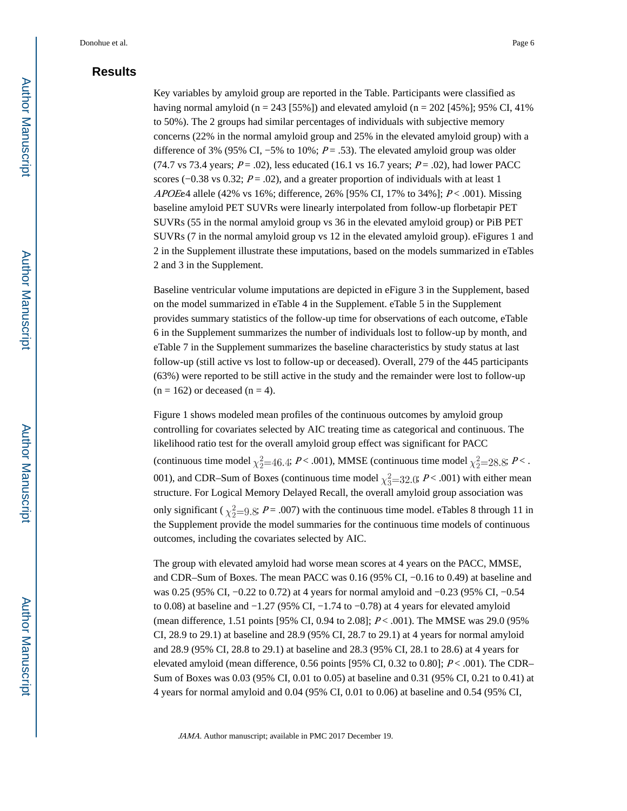## **Results**

Key variables by amyloid group are reported in the Table. Participants were classified as having normal amyloid (n = 243 [55%]) and elevated amyloid (n = 202 [45%]; 95% CI, 41% to 50%). The 2 groups had similar percentages of individuals with subjective memory concerns (22% in the normal amyloid group and 25% in the elevated amyloid group) with a difference of 3% (95% CI,  $-5\%$  to 10%;  $P = .53$ ). The elevated amyloid group was older (74.7 vs 73.4 years;  $P = .02$ ), less educated (16.1 vs 16.7 years;  $P = .02$ ), had lower PACC scores ( $-0.38$  vs  $0.32$ ;  $P = .02$ ), and a greater proportion of individuals with at least 1 APOEe4 allele (42% vs 16%; difference, 26% [95% CI, 17% to 34%];  $P < .001$ ). Missing baseline amyloid PET SUVRs were linearly interpolated from follow-up florbetapir PET SUVRs (55 in the normal amyloid group vs 36 in the elevated amyloid group) or PiB PET SUVRs (7 in the normal amyloid group vs 12 in the elevated amyloid group). eFigures 1 and 2 in the Supplement illustrate these imputations, based on the models summarized in eTables 2 and 3 in the Supplement.

Baseline ventricular volume imputations are depicted in eFigure 3 in the Supplement, based on the model summarized in eTable 4 in the Supplement. eTable 5 in the Supplement provides summary statistics of the follow-up time for observations of each outcome, eTable 6 in the Supplement summarizes the number of individuals lost to follow-up by month, and eTable 7 in the Supplement summarizes the baseline characteristics by study status at last follow-up (still active vs lost to follow-up or deceased). Overall, 279 of the 445 participants (63%) were reported to be still active in the study and the remainder were lost to follow-up  $(n = 162)$  or deceased  $(n = 4)$ .

Figure 1 shows modeled mean profiles of the continuous outcomes by amyloid group controlling for covariates selected by AIC treating time as categorical and continuous. The likelihood ratio test for the overall amyloid group effect was significant for PACC (continuous time model  $\chi_2^2$  = 46.4; P < .001), MMSE (continuous time model  $\chi_2^2$  = 28.8; P < . 001), and CDR–Sum of Boxes (continuous time model  $\chi^2_{3} = 32.0$ ; P < .001) with either mean structure. For Logical Memory Delayed Recall, the overall amyloid group association was only significant ( $\chi^2$ =9.8; P = .007) with the continuous time model. eTables 8 through 11 in the Supplement provide the model summaries for the continuous time models of continuous outcomes, including the covariates selected by AIC.

The group with elevated amyloid had worse mean scores at 4 years on the PACC, MMSE, and CDR–Sum of Boxes. The mean PACC was 0.16 (95% CI, −0.16 to 0.49) at baseline and was 0.25 (95% CI, −0.22 to 0.72) at 4 years for normal amyloid and −0.23 (95% CI, −0.54 to 0.08) at baseline and −1.27 (95% CI, −1.74 to −0.78) at 4 years for elevated amyloid (mean difference, 1.51 points [95% CI, 0.94 to 2.08];  $P < .001$ ). The MMSE was 29.0 (95% CI, 28.9 to 29.1) at baseline and 28.9 (95% CI, 28.7 to 29.1) at 4 years for normal amyloid and 28.9 (95% CI, 28.8 to 29.1) at baseline and 28.3 (95% CI, 28.1 to 28.6) at 4 years for elevated amyloid (mean difference,  $0.56$  points [95% CI, 0.32 to 0.80];  $P < .001$ ). The CDR-Sum of Boxes was 0.03 (95% CI, 0.01 to 0.05) at baseline and 0.31 (95% CI, 0.21 to 0.41) at 4 years for normal amyloid and 0.04 (95% CI, 0.01 to 0.06) at baseline and 0.54 (95% CI,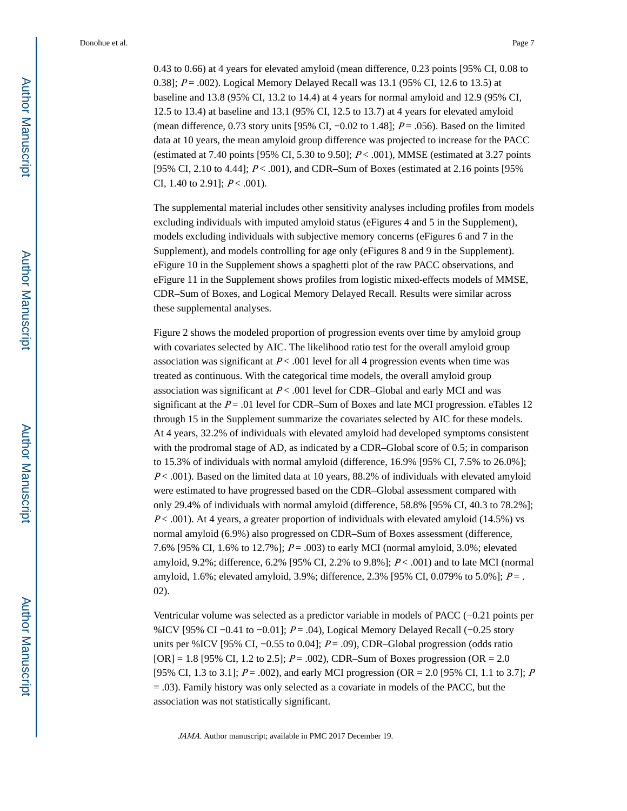0.43 to 0.66) at 4 years for elevated amyloid (mean difference, 0.23 points [95% CI, 0.08 to 0.38];  $P = .002$ ). Logical Memory Delayed Recall was 13.1 (95% CI, 12.6 to 13.5) at baseline and 13.8 (95% CI, 13.2 to 14.4) at 4 years for normal amyloid and 12.9 (95% CI, 12.5 to 13.4) at baseline and 13.1 (95% CI, 12.5 to 13.7) at 4 years for elevated amyloid (mean difference, 0.73 story units [95% CI,  $-0.02$  to 1.48]; P = .056). Based on the limited data at 10 years, the mean amyloid group difference was projected to increase for the PACC (estimated at 7.40 points [95% CI, 5.30 to 9.50];  $P < .001$ ), MMSE (estimated at 3.27 points [95% CI, 2.10 to 4.44];  $P < .001$ ), and CDR-Sum of Boxes (estimated at 2.16 points [95% CI, 1.40 to 2.91];  $P < .001$ ).

The supplemental material includes other sensitivity analyses including profiles from models excluding individuals with imputed amyloid status (eFigures 4 and 5 in the Supplement), models excluding individuals with subjective memory concerns (eFigures 6 and 7 in the Supplement), and models controlling for age only (eFigures 8 and 9 in the Supplement). eFigure 10 in the Supplement shows a spaghetti plot of the raw PACC observations, and eFigure 11 in the Supplement shows profiles from logistic mixed-effects models of MMSE, CDR–Sum of Boxes, and Logical Memory Delayed Recall. Results were similar across these supplemental analyses.

Figure 2 shows the modeled proportion of progression events over time by amyloid group with covariates selected by AIC. The likelihood ratio test for the overall amyloid group association was significant at  $P < .001$  level for all 4 progression events when time was treated as continuous. With the categorical time models, the overall amyloid group association was significant at  $P < .001$  level for CDR–Global and early MCI and was significant at the  $P = .01$  level for CDR–Sum of Boxes and late MCI progression. eTables 12 through 15 in the Supplement summarize the covariates selected by AIC for these models. At 4 years, 32.2% of individuals with elevated amyloid had developed symptoms consistent with the prodromal stage of AD, as indicated by a CDR–Global score of 0.5; in comparison to 15.3% of individuals with normal amyloid (difference, 16.9% [95% CI, 7.5% to 26.0%];  $P < .001$ ). Based on the limited data at 10 years, 88.2% of individuals with elevated amyloid were estimated to have progressed based on the CDR–Global assessment compared with only 29.4% of individuals with normal amyloid (difference, 58.8% [95% CI, 40.3 to 78.2%];  $P$  < .001). At 4 years, a greater proportion of individuals with elevated amyloid (14.5%) vs normal amyloid (6.9%) also progressed on CDR–Sum of Boxes assessment (difference, 7.6% [95% CI, 1.6% to 12.7%];  $P = .003$  to early MCI (normal amyloid, 3.0%; elevated amyloid, 9.2%; difference, 6.2% [95% CI, 2.2% to 9.8%];  $P < .001$  and to late MCI (normal amyloid, 1.6%; elevated amyloid, 3.9%; difference, 2.3% [95% CI, 0.079% to 5.0%];  $P =$ . 02).

Ventricular volume was selected as a predictor variable in models of PACC (−0.21 points per %ICV [95% CI –0.41 to –0.01]; P = .04), Logical Memory Delayed Recall (–0.25 story units per %ICV [95% CI,  $-0.55$  to 0.04];  $P = .09$ ), CDR–Global progression (odds ratio  $[OR] = 1.8$  [95% CI, 1.2 to 2.5];  $P = .002$ ), CDR-Sum of Boxes progression (OR = 2.0) [95% CI, 1.3 to 3.1];  $P = .002$ ), and early MCI progression (OR = 2.0 [95% CI, 1.1 to 3.7]; P = .03). Family history was only selected as a covariate in models of the PACC, but the association was not statistically significant.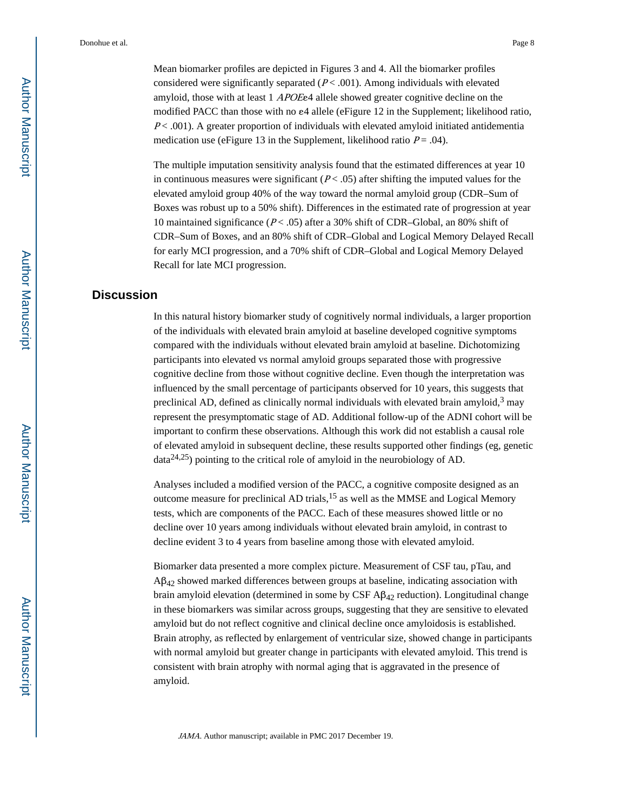Mean biomarker profiles are depicted in Figures 3 and 4. All the biomarker profiles considered were significantly separated  $(P < .001)$ . Among individuals with elevated amyloid, those with at least 1 APOEε4 allele showed greater cognitive decline on the modified PACC than those with no ε4 allele (eFigure 12 in the Supplement; likelihood ratio,  $P < .001$ ). A greater proportion of individuals with elevated amyloid initiated antidementia medication use (eFigure 13 in the Supplement, likelihood ratio  $P = .04$ ).

The multiple imputation sensitivity analysis found that the estimated differences at year 10 in continuous measures were significant ( $P < .05$ ) after shifting the imputed values for the elevated amyloid group 40% of the way toward the normal amyloid group (CDR–Sum of Boxes was robust up to a 50% shift). Differences in the estimated rate of progression at year 10 maintained significance ( $P < .05$ ) after a 30% shift of CDR–Global, an 80% shift of CDR–Sum of Boxes, and an 80% shift of CDR–Global and Logical Memory Delayed Recall for early MCI progression, and a 70% shift of CDR–Global and Logical Memory Delayed Recall for late MCI progression.

### **Discussion**

In this natural history biomarker study of cognitively normal individuals, a larger proportion of the individuals with elevated brain amyloid at baseline developed cognitive symptoms compared with the individuals without elevated brain amyloid at baseline. Dichotomizing participants into elevated vs normal amyloid groups separated those with progressive cognitive decline from those without cognitive decline. Even though the interpretation was influenced by the small percentage of participants observed for 10 years, this suggests that preclinical AD, defined as clinically normal individuals with elevated brain amyloid,<sup>3</sup> may represent the presymptomatic stage of AD. Additional follow-up of the ADNI cohort will be important to confirm these observations. Although this work did not establish a causal role of elevated amyloid in subsequent decline, these results supported other findings (eg, genetic  $data^{24,25}$ ) pointing to the critical role of amyloid in the neurobiology of AD.

Analyses included a modified version of the PACC, a cognitive composite designed as an outcome measure for preclinical AD trials,15 as well as the MMSE and Logical Memory tests, which are components of the PACC. Each of these measures showed little or no decline over 10 years among individuals without elevated brain amyloid, in contrast to decline evident 3 to 4 years from baseline among those with elevated amyloid.

Biomarker data presented a more complex picture. Measurement of CSF tau, pTau, and  $A\beta_{42}$  showed marked differences between groups at baseline, indicating association with brain amyloid elevation (determined in some by CSF  $\mathsf{AB}_{42}$  reduction). Longitudinal change in these biomarkers was similar across groups, suggesting that they are sensitive to elevated amyloid but do not reflect cognitive and clinical decline once amyloidosis is established. Brain atrophy, as reflected by enlargement of ventricular size, showed change in participants with normal amyloid but greater change in participants with elevated amyloid. This trend is consistent with brain atrophy with normal aging that is aggravated in the presence of amyloid.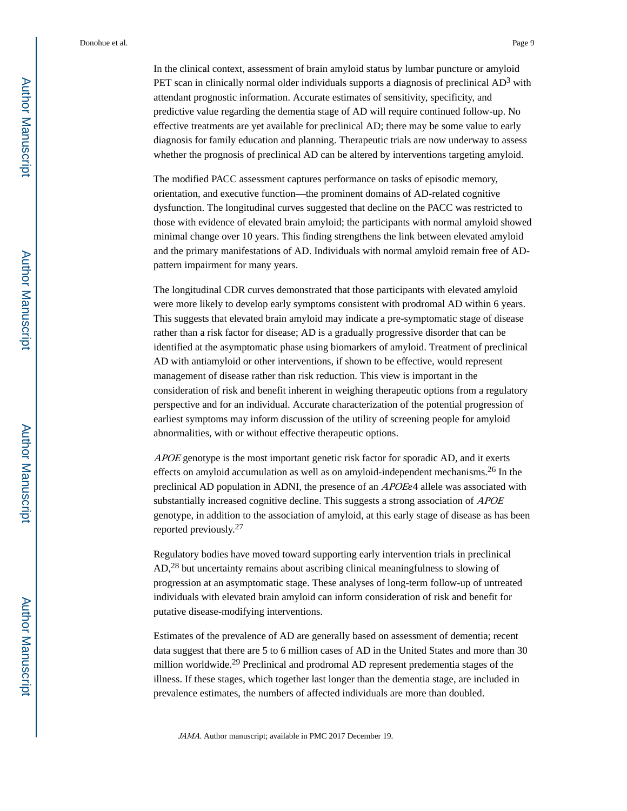In the clinical context, assessment of brain amyloid status by lumbar puncture or amyloid PET scan in clinically normal older individuals supports a diagnosis of preclinical  $AD^3$  with attendant prognostic information. Accurate estimates of sensitivity, specificity, and predictive value regarding the dementia stage of AD will require continued follow-up. No effective treatments are yet available for preclinical AD; there may be some value to early diagnosis for family education and planning. Therapeutic trials are now underway to assess whether the prognosis of preclinical AD can be altered by interventions targeting amyloid.

The modified PACC assessment captures performance on tasks of episodic memory, orientation, and executive function—the prominent domains of AD-related cognitive dysfunction. The longitudinal curves suggested that decline on the PACC was restricted to those with evidence of elevated brain amyloid; the participants with normal amyloid showed minimal change over 10 years. This finding strengthens the link between elevated amyloid and the primary manifestations of AD. Individuals with normal amyloid remain free of ADpattern impairment for many years.

The longitudinal CDR curves demonstrated that those participants with elevated amyloid were more likely to develop early symptoms consistent with prodromal AD within 6 years. This suggests that elevated brain amyloid may indicate a pre-symptomatic stage of disease rather than a risk factor for disease; AD is a gradually progressive disorder that can be identified at the asymptomatic phase using biomarkers of amyloid. Treatment of preclinical AD with antiamyloid or other interventions, if shown to be effective, would represent management of disease rather than risk reduction. This view is important in the consideration of risk and benefit inherent in weighing therapeutic options from a regulatory perspective and for an individual. Accurate characterization of the potential progression of earliest symptoms may inform discussion of the utility of screening people for amyloid abnormalities, with or without effective therapeutic options.

APOE genotype is the most important genetic risk factor for sporadic AD, and it exerts effects on amyloid accumulation as well as on amyloid-independent mechanisms.26 In the preclinical AD population in ADNI, the presence of an *APOE*e4 allele was associated with substantially increased cognitive decline. This suggests a strong association of APOE genotype, in addition to the association of amyloid, at this early stage of disease as has been reported previously.<sup>27</sup>

Regulatory bodies have moved toward supporting early intervention trials in preclinical AD,28 but uncertainty remains about ascribing clinical meaningfulness to slowing of progression at an asymptomatic stage. These analyses of long-term follow-up of untreated individuals with elevated brain amyloid can inform consideration of risk and benefit for putative disease-modifying interventions.

Estimates of the prevalence of AD are generally based on assessment of dementia; recent data suggest that there are 5 to 6 million cases of AD in the United States and more than 30 million worldwide.29 Preclinical and prodromal AD represent predementia stages of the illness. If these stages, which together last longer than the dementia stage, are included in prevalence estimates, the numbers of affected individuals are more than doubled.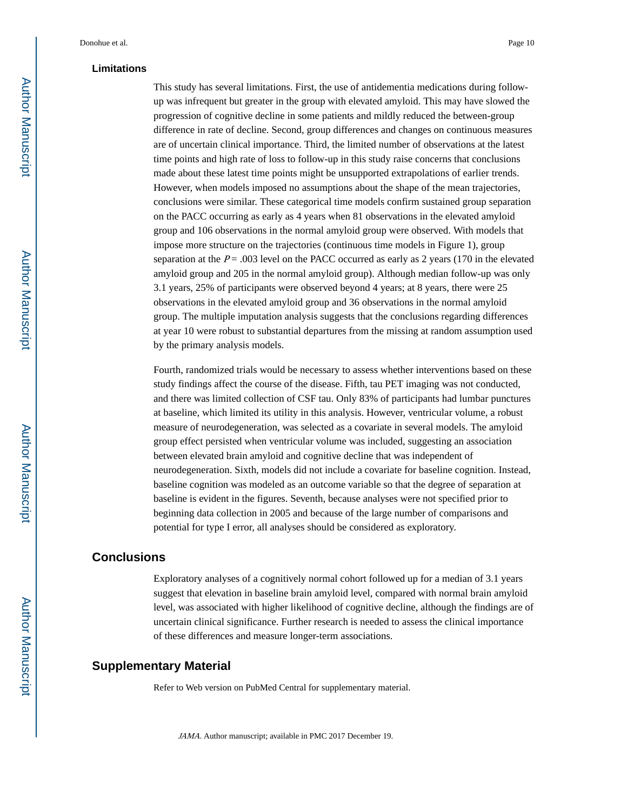#### **Limitations**

This study has several limitations. First, the use of antidementia medications during followup was infrequent but greater in the group with elevated amyloid. This may have slowed the progression of cognitive decline in some patients and mildly reduced the between-group difference in rate of decline. Second, group differences and changes on continuous measures are of uncertain clinical importance. Third, the limited number of observations at the latest time points and high rate of loss to follow-up in this study raise concerns that conclusions made about these latest time points might be unsupported extrapolations of earlier trends. However, when models imposed no assumptions about the shape of the mean trajectories, conclusions were similar. These categorical time models confirm sustained group separation on the PACC occurring as early as 4 years when 81 observations in the elevated amyloid group and 106 observations in the normal amyloid group were observed. With models that impose more structure on the trajectories (continuous time models in Figure 1), group separation at the  $P = .003$  level on the PACC occurred as early as 2 years (170 in the elevated amyloid group and 205 in the normal amyloid group). Although median follow-up was only 3.1 years, 25% of participants were observed beyond 4 years; at 8 years, there were 25 observations in the elevated amyloid group and 36 observations in the normal amyloid group. The multiple imputation analysis suggests that the conclusions regarding differences at year 10 were robust to substantial departures from the missing at random assumption used by the primary analysis models.

Fourth, randomized trials would be necessary to assess whether interventions based on these study findings affect the course of the disease. Fifth, tau PET imaging was not conducted, and there was limited collection of CSF tau. Only 83% of participants had lumbar punctures at baseline, which limited its utility in this analysis. However, ventricular volume, a robust measure of neurodegeneration, was selected as a covariate in several models. The amyloid group effect persisted when ventricular volume was included, suggesting an association between elevated brain amyloid and cognitive decline that was independent of neurodegeneration. Sixth, models did not include a covariate for baseline cognition. Instead, baseline cognition was modeled as an outcome variable so that the degree of separation at baseline is evident in the figures. Seventh, because analyses were not specified prior to beginning data collection in 2005 and because of the large number of comparisons and potential for type I error, all analyses should be considered as exploratory.

## **Conclusions**

Exploratory analyses of a cognitively normal cohort followed up for a median of 3.1 years suggest that elevation in baseline brain amyloid level, compared with normal brain amyloid level, was associated with higher likelihood of cognitive decline, although the findings are of uncertain clinical significance. Further research is needed to assess the clinical importance of these differences and measure longer-term associations.

#### **Supplementary Material**

Refer to Web version on PubMed Central for supplementary material.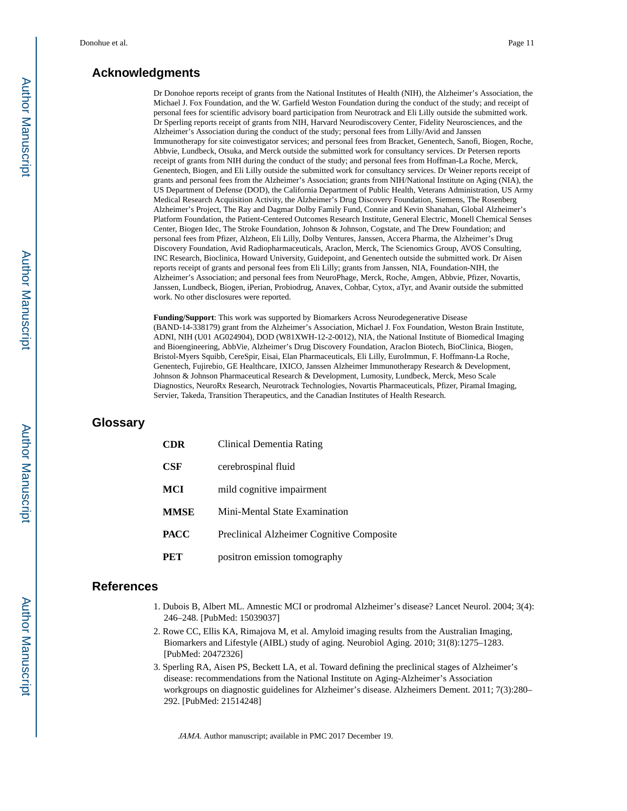## **Acknowledgments**

Dr Donohoe reports receipt of grants from the National Institutes of Health (NIH), the Alzheimer's Association, the Michael J. Fox Foundation, and the W. Garfield Weston Foundation during the conduct of the study; and receipt of personal fees for scientific advisory board participation from Neurotrack and Eli Lilly outside the submitted work. Dr Sperling reports receipt of grants from NIH, Harvard Neurodiscovery Center, Fidelity Neurosciences, and the Alzheimer's Association during the conduct of the study; personal fees from Lilly/Avid and Janssen Immunotherapy for site coinvestigator services; and personal fees from Bracket, Genentech, Sanofi, Biogen, Roche, Abbvie, Lundbeck, Otsuka, and Merck outside the submitted work for consultancy services. Dr Petersen reports receipt of grants from NIH during the conduct of the study; and personal fees from Hoffman-La Roche, Merck, Genentech, Biogen, and Eli Lilly outside the submitted work for consultancy services. Dr Weiner reports receipt of grants and personal fees from the Alzheimer's Association; grants from NIH/National Institute on Aging (NIA), the US Department of Defense (DOD), the California Department of Public Health, Veterans Administration, US Army Medical Research Acquisition Activity, the Alzheimer's Drug Discovery Foundation, Siemens, The Rosenberg Alzheimer's Project, The Ray and Dagmar Dolby Family Fund, Connie and Kevin Shanahan, Global Alzheimer's Platform Foundation, the Patient-Centered Outcomes Research Institute, General Electric, Monell Chemical Senses Center, Biogen Idec, The Stroke Foundation, Johnson & Johnson, Cogstate, and The Drew Foundation; and personal fees from Pfizer, Alzheon, Eli Lilly, Dolby Ventures, Janssen, Accera Pharma, the Alzheimer's Drug Discovery Foundation, Avid Radiopharmaceuticals, Araclon, Merck, The Scienomics Group, AVOS Consulting, INC Research, Bioclinica, Howard University, Guidepoint, and Genentech outside the submitted work. Dr Aisen reports receipt of grants and personal fees from Eli Lilly; grants from Janssen, NIA, Foundation-NIH, the Alzheimer's Association; and personal fees from NeuroPhage, Merck, Roche, Amgen, Abbvie, Pfizer, Novartis, Janssen, Lundbeck, Biogen, iPerian, Probiodrug, Anavex, Cohbar, Cytox, aTyr, and Avanir outside the submitted work. No other disclosures were reported.

**Funding/Support**: This work was supported by Biomarkers Across Neurodegenerative Disease (BAND-14-338179) grant from the Alzheimer's Association, Michael J. Fox Foundation, Weston Brain Institute, ADNI, NIH (U01 AG024904), DOD (W81XWH-12-2-0012), NIA, the National Institute of Biomedical Imaging and Bioengineering, AbbVie, Alzheimer's Drug Discovery Foundation, Araclon Biotech, BioClinica, Biogen, Bristol-Myers Squibb, CereSpir, Eisai, Elan Pharmaceuticals, Eli Lilly, EuroImmun, F. Hoffmann-La Roche, Genentech, Fujirebio, GE Healthcare, IXICO, Janssen Alzheimer Immunotherapy Research & Development, Johnson & Johnson Pharmaceutical Research & Development, Lumosity, Lundbeck, Merck, Meso Scale Diagnostics, NeuroRx Research, Neurotrack Technologies, Novartis Pharmaceuticals, Pfizer, Piramal Imaging, Servier, Takeda, Transition Therapeutics, and the Canadian Institutes of Health Research.

## **Glossary**

| <b>CDR</b>  | Clinical Dementia Rating                  |
|-------------|-------------------------------------------|
| CSF         | cerebrospinal fluid                       |
| <b>MCI</b>  | mild cognitive impairment                 |
| <b>MMSE</b> | Mini-Mental State Examination             |
| <b>PACC</b> | Preclinical Alzheimer Cognitive Composite |
| <b>PET</b>  | positron emission tomography              |

#### **References**

- 1. Dubois B, Albert ML. Amnestic MCI or prodromal Alzheimer's disease? Lancet Neurol. 2004; 3(4): 246–248. [PubMed: 15039037]
- 2. Rowe CC, Ellis KA, Rimajova M, et al. Amyloid imaging results from the Australian Imaging, Biomarkers and Lifestyle (AIBL) study of aging. Neurobiol Aging. 2010; 31(8):1275–1283. [PubMed: 20472326]
- 3. Sperling RA, Aisen PS, Beckett LA, et al. Toward defining the preclinical stages of Alzheimer's disease: recommendations from the National Institute on Aging-Alzheimer's Association workgroups on diagnostic guidelines for Alzheimer's disease. Alzheimers Dement. 2011; 7(3):280– 292. [PubMed: 21514248]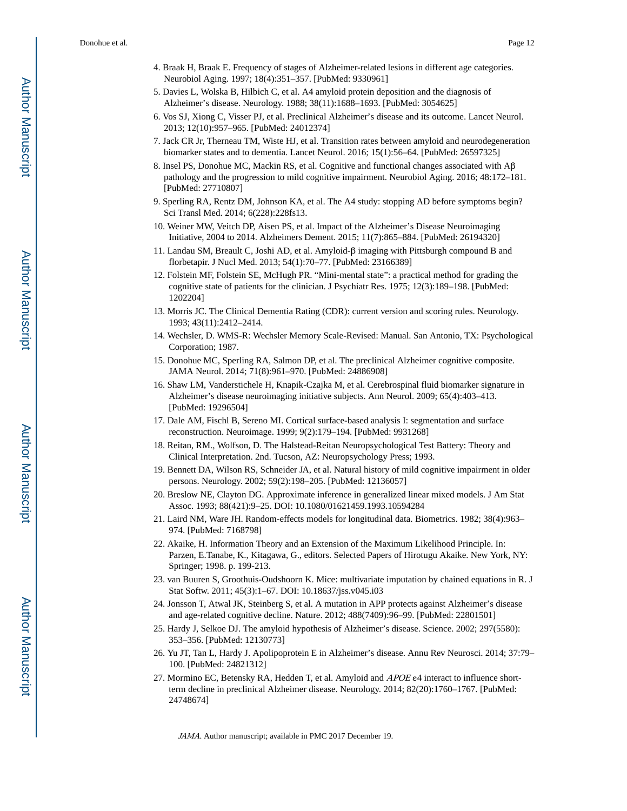- 4. Braak H, Braak E. Frequency of stages of Alzheimer-related lesions in different age categories. Neurobiol Aging. 1997; 18(4):351–357. [PubMed: 9330961]
- 5. Davies L, Wolska B, Hilbich C, et al. A4 amyloid protein deposition and the diagnosis of Alzheimer's disease. Neurology. 1988; 38(11):1688–1693. [PubMed: 3054625]
- 6. Vos SJ, Xiong C, Visser PJ, et al. Preclinical Alzheimer's disease and its outcome. Lancet Neurol. 2013; 12(10):957–965. [PubMed: 24012374]
- 7. Jack CR Jr, Therneau TM, Wiste HJ, et al. Transition rates between amyloid and neurodegeneration biomarker states and to dementia. Lancet Neurol. 2016; 15(1):56–64. [PubMed: 26597325]
- 8. Insel PS, Donohue MC, Mackin RS, et al. Cognitive and functional changes associated with Aβ pathology and the progression to mild cognitive impairment. Neurobiol Aging. 2016; 48:172–181. [PubMed: 27710807]
- 9. Sperling RA, Rentz DM, Johnson KA, et al. The A4 study: stopping AD before symptoms begin? Sci Transl Med. 2014; 6(228):228fs13.
- 10. Weiner MW, Veitch DP, Aisen PS, et al. Impact of the Alzheimer's Disease Neuroimaging Initiative, 2004 to 2014. Alzheimers Dement. 2015; 11(7):865–884. [PubMed: 26194320]
- 11. Landau SM, Breault C, Joshi AD, et al. Amyloid-β imaging with Pittsburgh compound B and florbetapir. J Nucl Med. 2013; 54(1):70–77. [PubMed: 23166389]
- 12. Folstein MF, Folstein SE, McHugh PR. "Mini-mental state": a practical method for grading the cognitive state of patients for the clinician. J Psychiatr Res. 1975; 12(3):189–198. [PubMed: 1202204]
- 13. Morris JC. The Clinical Dementia Rating (CDR): current version and scoring rules. Neurology. 1993; 43(11):2412–2414.
- 14. Wechsler, D. WMS-R: Wechsler Memory Scale-Revised: Manual. San Antonio, TX: Psychological Corporation; 1987.
- 15. Donohue MC, Sperling RA, Salmon DP, et al. The preclinical Alzheimer cognitive composite. JAMA Neurol. 2014; 71(8):961–970. [PubMed: 24886908]
- 16. Shaw LM, Vanderstichele H, Knapik-Czajka M, et al. Cerebrospinal fluid biomarker signature in Alzheimer's disease neuroimaging initiative subjects. Ann Neurol. 2009; 65(4):403–413. [PubMed: 19296504]
- 17. Dale AM, Fischl B, Sereno MI. Cortical surface-based analysis I: segmentation and surface reconstruction. Neuroimage. 1999; 9(2):179–194. [PubMed: 9931268]
- 18. Reitan, RM., Wolfson, D. The Halstead-Reitan Neuropsychological Test Battery: Theory and Clinical Interpretation. 2nd. Tucson, AZ: Neuropsychology Press; 1993.
- 19. Bennett DA, Wilson RS, Schneider JA, et al. Natural history of mild cognitive impairment in older persons. Neurology. 2002; 59(2):198–205. [PubMed: 12136057]
- 20. Breslow NE, Clayton DG. Approximate inference in generalized linear mixed models. J Am Stat Assoc. 1993; 88(421):9–25. DOI: 10.1080/01621459.1993.10594284
- 21. Laird NM, Ware JH. Random-effects models for longitudinal data. Biometrics. 1982; 38(4):963– 974. [PubMed: 7168798]
- 22. Akaike, H. Information Theory and an Extension of the Maximum Likelihood Principle. In: Parzen, E.Tanabe, K., Kitagawa, G., editors. Selected Papers of Hirotugu Akaike. New York, NY: Springer; 1998. p. 199-213.
- 23. van Buuren S, Groothuis-Oudshoorn K. Mice: multivariate imputation by chained equations in R. J Stat Softw. 2011; 45(3):1–67. DOI: 10.18637/jss.v045.i03
- 24. Jonsson T, Atwal JK, Steinberg S, et al. A mutation in APP protects against Alzheimer's disease and age-related cognitive decline. Nature. 2012; 488(7409):96–99. [PubMed: 22801501]
- 25. Hardy J, Selkoe DJ. The amyloid hypothesis of Alzheimer's disease. Science. 2002; 297(5580): 353–356. [PubMed: 12130773]
- 26. Yu JT, Tan L, Hardy J. Apolipoprotein E in Alzheimer's disease. Annu Rev Neurosci. 2014; 37:79– 100. [PubMed: 24821312]
- 27. Mormino EC, Betensky RA, Hedden T, et al. Amyloid and APOE  $e4$  interact to influence shortterm decline in preclinical Alzheimer disease. Neurology. 2014; 82(20):1760–1767. [PubMed: 24748674]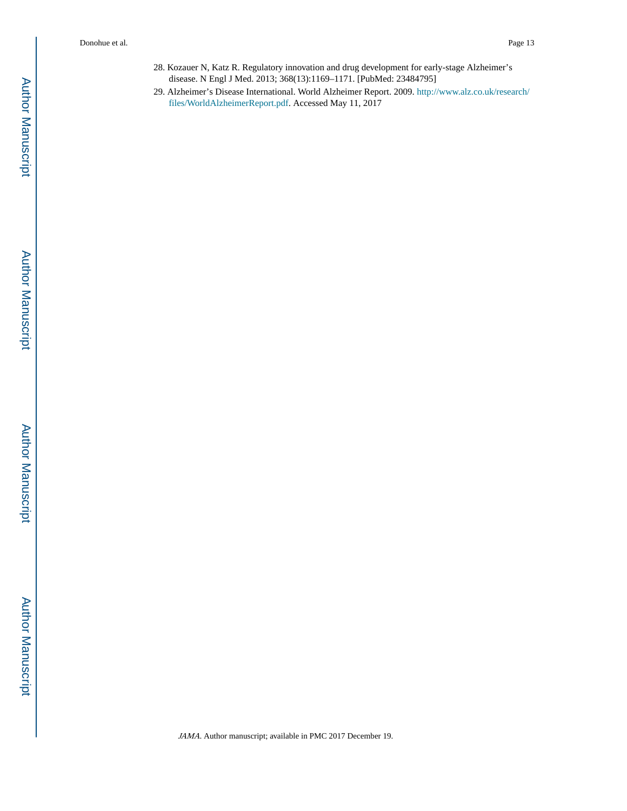- 28. Kozauer N, Katz R. Regulatory innovation and drug development for early-stage Alzheimer's disease. N Engl J Med. 2013; 368(13):1169–1171. [PubMed: 23484795]
- 29. Alzheimer's Disease International. World Alzheimer Report. 2009. [http://www.alz.co.uk/research/](http://www.alz.co.uk/research/files/WorldAlzheimerReport.pdf) [files/WorldAlzheimerReport.pdf.](http://www.alz.co.uk/research/files/WorldAlzheimerReport.pdf) Accessed May 11, 2017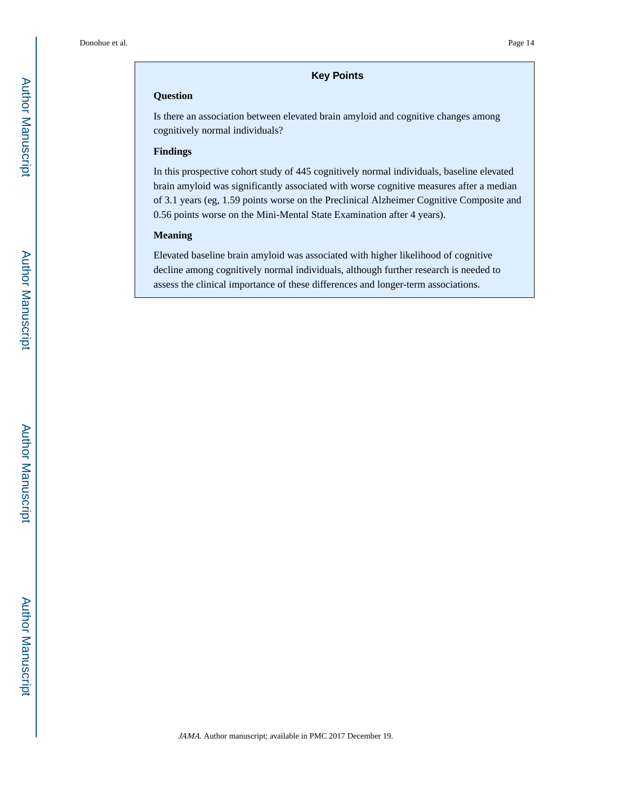#### **Key Points**

#### **Question**

Is there an association between elevated brain amyloid and cognitive changes among cognitively normal individuals?

#### **Findings**

In this prospective cohort study of 445 cognitively normal individuals, baseline elevated brain amyloid was significantly associated with worse cognitive measures after a median of 3.1 years (eg, 1.59 points worse on the Preclinical Alzheimer Cognitive Composite and 0.56 points worse on the Mini-Mental State Examination after 4 years).

#### **Meaning**

Elevated baseline brain amyloid was associated with higher likelihood of cognitive decline among cognitively normal individuals, although further research is needed to assess the clinical importance of these differences and longer-term associations.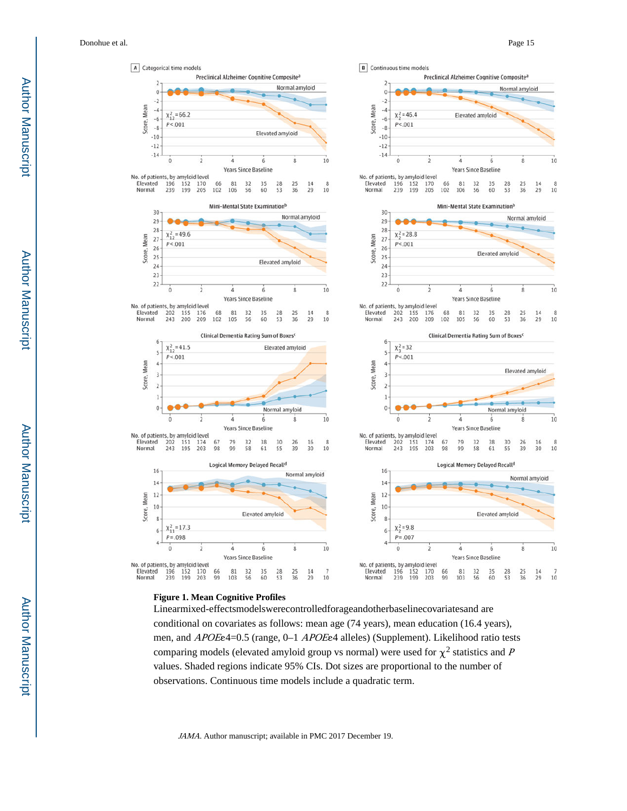

#### **Figure 1. Mean Cognitive Profiles**

Linearmixed-effectsmodelswerecontrolledforageandotherbaselinecovariatesand are conditional on covariates as follows: mean age (74 years), mean education (16.4 years), men, and APOEe4=0.5 (range, 0-1 APOEe4 alleles) (Supplement). Likelihood ratio tests comparing models (elevated amyloid group vs normal) were used for  $\chi^2$  statistics and P values. Shaded regions indicate 95% CIs. Dot sizes are proportional to the number of observations. Continuous time models include a quadratic term.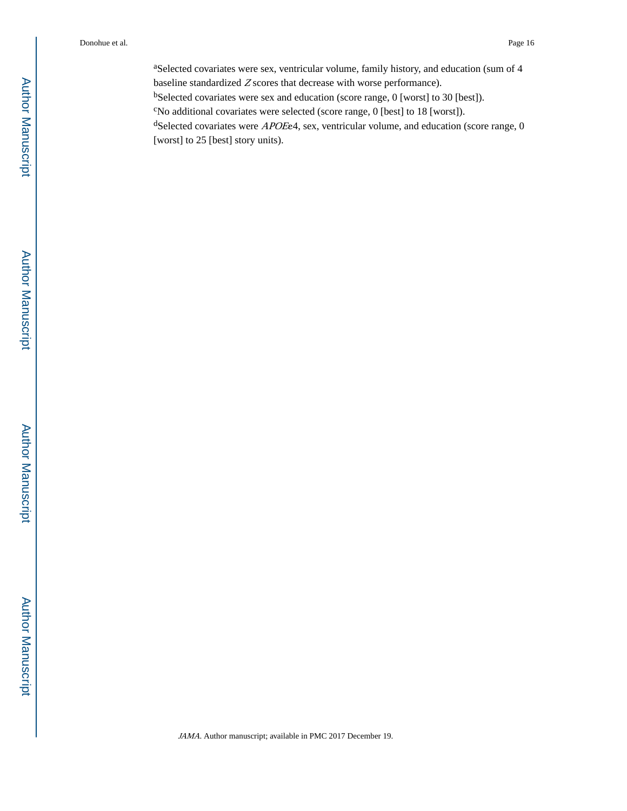<sup>a</sup>Selected covariates were sex, ventricular volume, family history, and education (sum of 4 baseline standardized Z scores that decrease with worse performance). <sup>b</sup>Selected covariates were sex and education (score range, 0 [worst] to 30 [best]). <sup>c</sup>No additional covariates were selected (score range, 0 [best] to 18 [worst]). dSelected covariates were  $APOEe4$ , sex, ventricular volume, and education (score range, 0 [worst] to 25 [best] story units).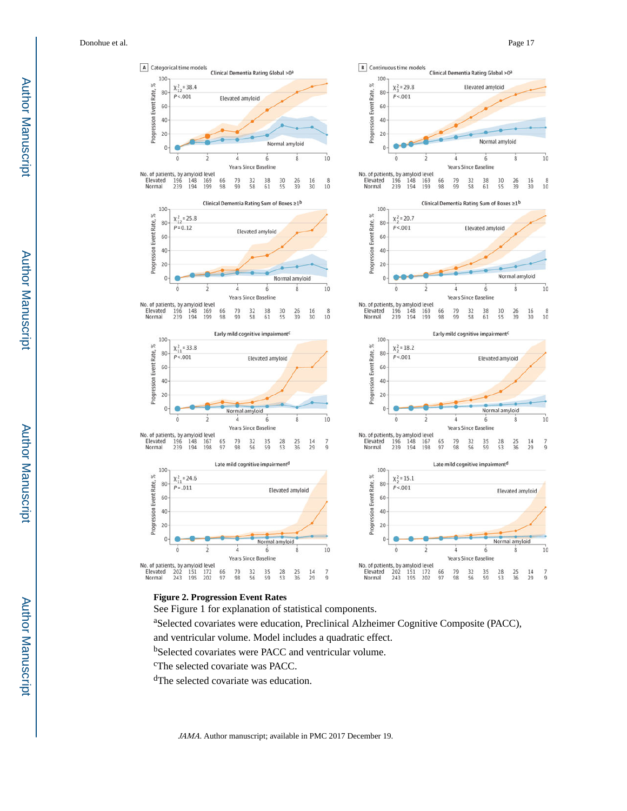

#### **Figure 2. Progression Event Rates**

See Figure 1 for explanation of statistical components.

<sup>a</sup>Selected covariates were education, Preclinical Alzheimer Cognitive Composite (PACC),

and ventricular volume. Model includes a quadratic effect.

<sup>b</sup>Selected covariates were PACC and ventricular volume.

<sup>c</sup>The selected covariate was PACC.

<sup>d</sup>The selected covariate was education.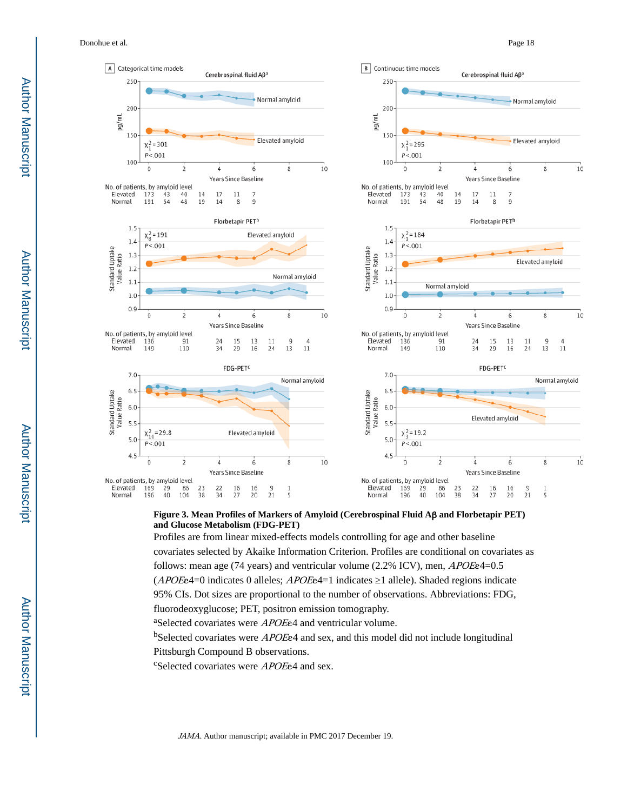Donohue et al. Page 18



#### **Figure 3. Mean Profiles of Markers of Amyloid (Cerebrospinal Fluid A**β **and Florbetapir PET) and Glucose Metabolism (FDG-PET)**

Profiles are from linear mixed-effects models controlling for age and other baseline covariates selected by Akaike Information Criterion. Profiles are conditional on covariates as follows: mean age (74 years) and ventricular volume (2.2% ICV), men,  $APOEe4=0.5$ (APOEe4=0 indicates 0 alleles; APOEe4=1 indicates 1 allele). Shaded regions indicate 95% CIs. Dot sizes are proportional to the number of observations. Abbreviations: FDG, fluorodeoxyglucose; PET, positron emission tomography.

aSelected covariates were *APOE*ε4 and ventricular volume.

bSelected covariates were  $ADOEe4$  and sex, and this model did not include longitudinal Pittsburgh Compound B observations.

<sup>c</sup>Selected covariates were APOEε4 and sex.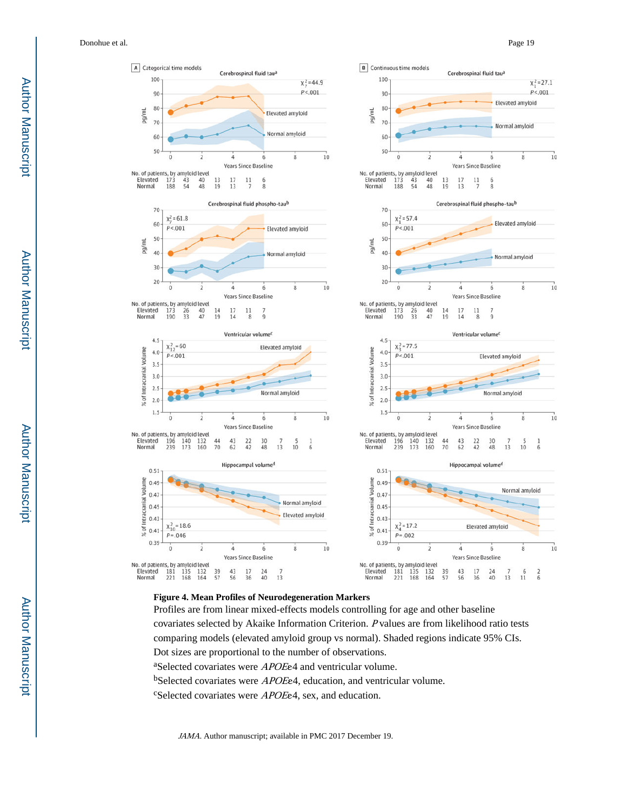

#### **Figure 4. Mean Profiles of Neurodegeneration Markers**

Profiles are from linear mixed-effects models controlling for age and other baseline covariates selected by Akaike Information Criterion. P values are from likelihood ratio tests comparing models (elevated amyloid group vs normal). Shaded regions indicate 95% CIs. Dot sizes are proportional to the number of observations.

aSelected covariates were APOEe4 and ventricular volume.

bSelected covariates were APOEe4, education, and ventricular volume.

<sup>c</sup>Selected covariates were *APOE*e4, sex, and education.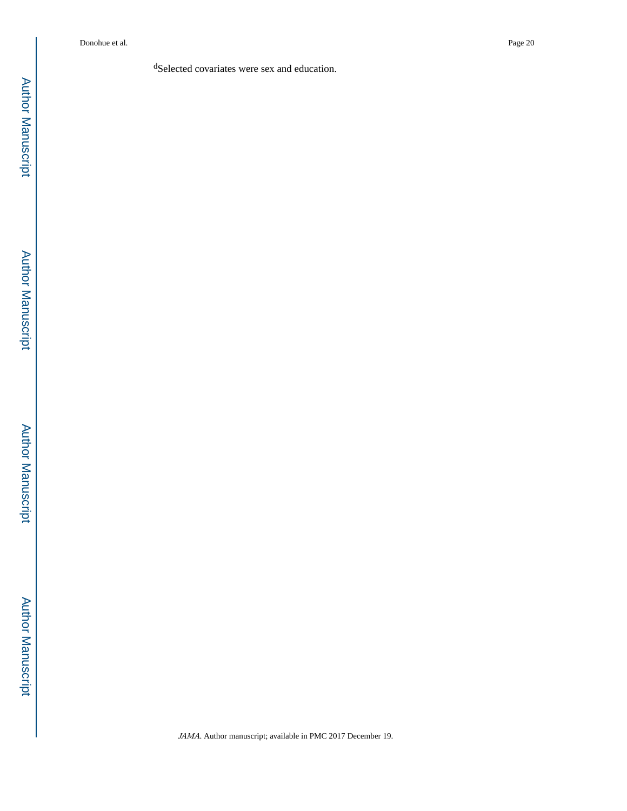dSelected covariates were sex and education.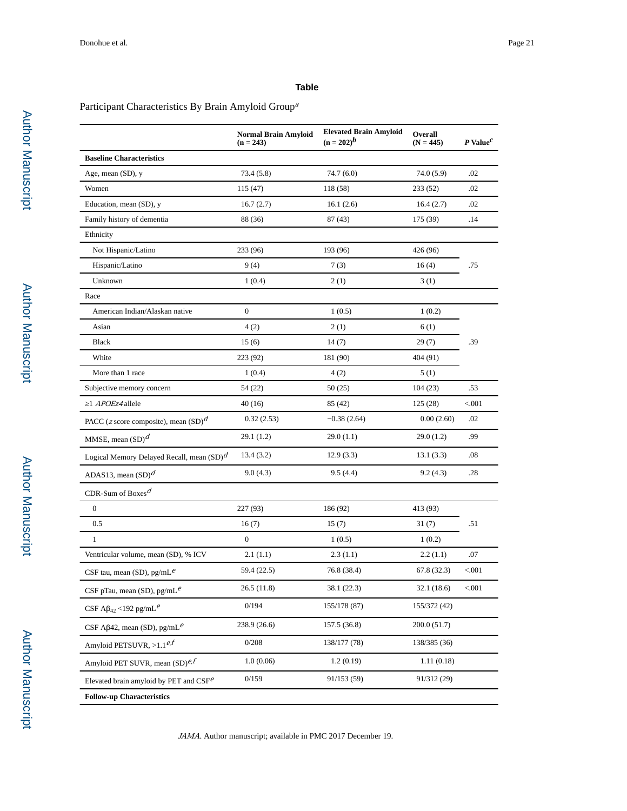#### **Table**

## Participant Characteristics By Brain Amyloid Group<sup>a</sup>

|                                                   | <b>Normal Brain Amyloid</b><br>$(n = 243)$ | <b>Elevated Brain Amyloid</b><br>$(n = 202)^b$ | Overall<br>$(N = 445)$ | P Value <sup>c</sup> |  |
|---------------------------------------------------|--------------------------------------------|------------------------------------------------|------------------------|----------------------|--|
| <b>Baseline Characteristics</b>                   |                                            |                                                |                        |                      |  |
| Age, mean (SD), y                                 | 73.4 (5.8)                                 | 74.7 (6.0)                                     | 74.0(5.9)              | .02                  |  |
| Women                                             | 115 (47)                                   | 118 (58)                                       | 233 (52)               | .02                  |  |
| Education, mean (SD), y                           | 16.7(2.7)                                  | 16.1(2.6)                                      | 16.4(2.7)              | .02                  |  |
| Family history of dementia                        | 88 (36)                                    | 87 (43)                                        | 175 (39)               | .14                  |  |
| Ethnicity                                         |                                            |                                                |                        |                      |  |
| Not Hispanic/Latino                               | 233 (96)                                   | 193 (96)                                       | 426 (96)               |                      |  |
| Hispanic/Latino                                   | 9(4)                                       | 7(3)                                           | 16(4)                  | .75                  |  |
| Unknown                                           | 1(0.4)                                     | 2(1)                                           | 3(1)                   |                      |  |
| Race                                              |                                            |                                                |                        |                      |  |
| American Indian/Alaskan native                    | $\boldsymbol{0}$                           | 1(0.5)                                         | 1(0.2)                 |                      |  |
| Asian                                             | 4(2)                                       | 2(1)                                           | 6(1)                   |                      |  |
| <b>Black</b>                                      | 15(6)                                      | 14(7)                                          | 29(7)                  | .39                  |  |
| White                                             | 223 (92)                                   | 181 (90)                                       | 404 (91)               |                      |  |
| More than 1 race                                  | 1(0.4)                                     | 4(2)                                           | 5(1)                   |                      |  |
| Subjective memory concern                         | 54 (22)                                    | 50 (25)                                        | 104 (23)               | .53                  |  |
| 1 APOEz4 allele                                   | 40(16)                                     | 85 (42)                                        | 125 (28)               | < 0.001              |  |
| PACC (z score composite), mean $(SD)^d$           | 0.32(2.53)                                 | $-0.38(2.64)$                                  | 0.00(2.60)             | .02                  |  |
| MMSE, mean $(SD)^d$                               | 29.1 (1.2)                                 | 29.0 (1.1)                                     | 29.0(1.2)              | .99                  |  |
| Logical Memory Delayed Recall, mean $(SD)^d$      | 13.4 (3.2)                                 | 12.9(3.3)                                      | 13.1(3.3)              | .08                  |  |
| ADAS13, mean $(SD)^d$                             | 9.0(4.3)                                   | 9.5(4.4)                                       | 9.2(4.3)               | .28                  |  |
| CDR-Sum of Boxes <sup><math>d</math></sup>        |                                            |                                                |                        |                      |  |
| $\boldsymbol{0}$                                  | 227 (93)                                   | 186 (92)                                       | 413 (93)               |                      |  |
| 0.5                                               | 16(7)                                      | 15(7)                                          | 31(7)                  | .51                  |  |
| 1                                                 | $\boldsymbol{0}$                           | 1(0.5)                                         | 1(0.2)                 |                      |  |
| Ventricular volume, mean (SD), % ICV              | 2.1(1.1)                                   | 2.3(1.1)                                       | 2.2(1.1)               | .07                  |  |
| CSF tau, mean (SD), $pg/mL^e$                     | 59.4 (22.5)                                | 76.8 (38.4)                                    | 67.8(32.3)             | < 0.001              |  |
| CSF pTau, mean (SD), pg/mL $^e$                   | 26.5(11.8)                                 | 38.1 (22.3)                                    | 32.1(18.6)             | < 0.001              |  |
| $\text{CSF A}\beta_{42}$ <192 pg/mL $^{\text{e}}$ | 0/194                                      | 155/178 (87)                                   | 155/372 (42)           |                      |  |
| CSF A $\beta$ 42, mean (SD), pg/mL <sup>e</sup>   | 238.9 (26.6)                               | 157.5(36.8)                                    | 200.0(51.7)            |                      |  |
| Amyloid PETSUVR, >1.1e,f                          | 0/208                                      | 138/177 (78)                                   | 138/385 (36)           |                      |  |
| Amyloid PET SUVR, mean (SD)e,f                    | 1.0(0.06)                                  | 1.2(0.19)                                      | 1.11(0.18)             |                      |  |
| Elevated brain amyloid by PET and $CSF^e$         | 0/159                                      | 91/153 (59)                                    | 91/312 (29)            |                      |  |
| <b>Follow-up Characteristics</b>                  |                                            |                                                |                        |                      |  |